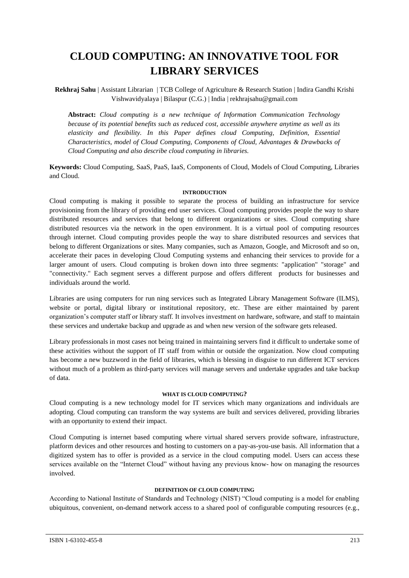# **CLOUD COMPUTING: AN INNOVATIVE TOOL FOR LIBRARY SERVICES**

**Rekhraj Sahu** | Assistant Librarian | TCB College of Agriculture & Research Station | Indira Gandhi Krishi Vishwavidyalaya | Bilaspur (C.G.) | India | rekhrajsahu@gmail.com

**Abstract:** *Cloud computing is a new technique of Information Communication Technology because of its potential benefits such as reduced cost, accessible anywhere anytime as well as its elasticity and flexibility. In this Paper defines cloud Computing, Definition, Essential Characteristics, model of Cloud Computing, Components of Cloud, Advantages & Drawbacks of Cloud Computing and also describe cloud computing in libraries.*

**Keywords:** Cloud Computing, SaaS, PaaS, IaaS, Components of Cloud, Models of Cloud Computing, Libraries and Cloud.

## **INTRODUCTION**

Cloud computing is making it possible to separate the process of building an infrastructure for service provisioning from the library of providing end user services. Cloud computing provides people the way to share distributed resources and services that belong to different organizations or sites. Cloud computing share distributed resources via the network in the open environment. It is a virtual pool of computing resources through internet. Cloud computing provides people the way to share distributed resources and services that belong to different Organizations or sites. Many companies, such as Amazon, Google, and Microsoft and so on, accelerate their paces in developing Cloud Computing systems and enhancing their services to provide for a larger amount of users. Cloud computing is broken down into three segments: "application" "storage" and "connectivity." Each segment serves a different purpose and offers different products for businesses and individuals around the world.

Libraries are using computers for run ning services such as Integrated Library Management Software (ILMS), website or portal, digital library or institutional repository, etc. These are either maintained by parent organization's computer staff or library staff. It involves investment on hardware, software, and staff to maintain these services and undertake backup and upgrade as and when new version of the software gets released.

Library professionals in most cases not being trained in maintaining servers find it difficult to undertake some of these activities without the support of IT staff from within or outside the organization. Now cloud computing has become a new buzzword in the field of libraries, which is blessing in disguise to run different ICT services without much of a problem as third-party services will manage servers and undertake upgrades and take backup of data.

# **WHAT IS CLOUD COMPUTING?**

Cloud computing is a new technology model for IT services which many organizations and individuals are adopting. Cloud computing can transform the way systems are built and services delivered, providing libraries with an opportunity to extend their impact.

Cloud Computing is internet based computing where virtual shared servers provide software, infrastructure, platform devices and other resources and hosting to customers on a pay-as-you-use basis. All information that a digitized system has to offer is provided as a service in the cloud computing model. Users can access these services available on the "Internet Cloud" without having any previous know- how on managing the resources involved.

## **DEFINITION OF CLOUD COMPUTING**

According to National Institute of Standards and Technology (NIST) "Cloud computing is a model for enabling ubiquitous, convenient, on-demand network access to a shared pool of configurable computing resources (e.g.,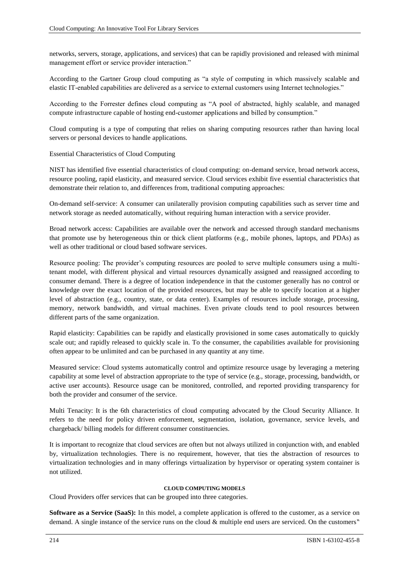networks, servers, storage, applications, and services) that can be rapidly provisioned and released with minimal management effort or service provider interaction."

According to the Gartner Group cloud computing as "a style of computing in which massively scalable and elastic IT-enabled capabilities are delivered as a service to external customers using Internet technologies."

According to the Forrester defines cloud computing as "A pool of abstracted, highly scalable, and managed compute infrastructure capable of hosting end-customer applications and billed by consumption."

Cloud computing is a type of computing that relies on sharing computing resources rather than having local servers or personal devices to handle applications.

Essential Characteristics of Cloud Computing

NIST has identified five essential characteristics of cloud computing: on-demand service, broad network access, resource pooling, rapid elasticity, and measured service. Cloud services exhibit five essential characteristics that demonstrate their relation to, and differences from, traditional computing approaches:

On-demand self-service: A consumer can unilaterally provision computing capabilities such as server time and network storage as needed automatically, without requiring human interaction with a service provider.

Broad network access: Capabilities are available over the network and accessed through standard mechanisms that promote use by heterogeneous thin or thick client platforms (e.g., mobile phones, laptops, and PDAs) as well as other traditional or cloud based software services.

Resource pooling: The provider's computing resources are pooled to serve multiple consumers using a multitenant model, with different physical and virtual resources dynamically assigned and reassigned according to consumer demand. There is a degree of location independence in that the customer generally has no control or knowledge over the exact location of the provided resources, but may be able to specify location at a higher level of abstraction (e.g., country, state, or data center). Examples of resources include storage, processing, memory, network bandwidth, and virtual machines. Even private clouds tend to pool resources between different parts of the same organization.

Rapid elasticity: Capabilities can be rapidly and elastically provisioned in some cases automatically to quickly scale out; and rapidly released to quickly scale in. To the consumer, the capabilities available for provisioning often appear to be unlimited and can be purchased in any quantity at any time.

Measured service: Cloud systems automatically control and optimize resource usage by leveraging a metering capability at some level of abstraction appropriate to the type of service (e.g., storage, processing, bandwidth, or active user accounts). Resource usage can be monitored, controlled, and reported providing transparency for both the provider and consumer of the service.

Multi Tenacity: It is the 6th characteristics of cloud computing advocated by the Cloud Security Alliance. It refers to the need for policy driven enforcement, segmentation, isolation, governance, service levels, and chargeback/ billing models for different consumer constituencies.

It is important to recognize that cloud services are often but not always utilized in conjunction with, and enabled by, virtualization technologies. There is no requirement, however, that ties the abstraction of resources to virtualization technologies and in many offerings virtualization by hypervisor or operating system container is not utilized.

# **CLOUD COMPUTING MODELS**

Cloud Providers offer services that can be grouped into three categories.

**Software as a Service (SaaS):** In this model, a complete application is offered to the customer, as a service on demand. A single instance of the service runs on the cloud & multiple end users are serviced. On the customers"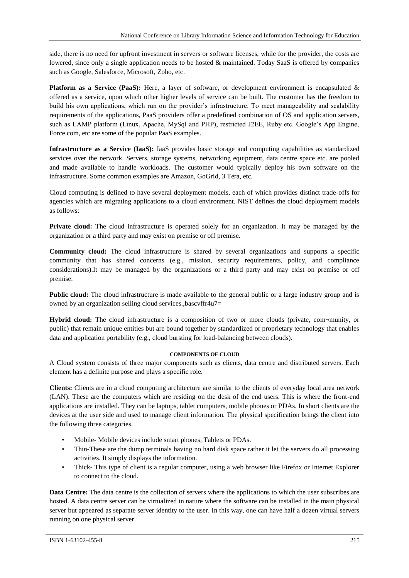side, there is no need for upfront investment in servers or software licenses, while for the provider, the costs are lowered, since only a single application needs to be hosted & maintained. Today SaaS is offered by companies such as Google, Salesforce, Microsoft, Zoho, etc.

**Platform as a Service (PaaS):** Here, a layer of software, or development environment is encapsulated & offered as a service, upon which other higher levels of service can be built. The customer has the freedom to build his own applications, which run on the provider's infrastructure. To meet manageability and scalability requirements of the applications, PaaS providers offer a predefined combination of OS and application servers, such as LAMP platform (Linux, Apache, MySql and PHP), restricted J2EE, Ruby etc. Google's App Engine, Force.com, etc are some of the popular PaaS examples.

**Infrastructure as a Service (IaaS):** IaaS provides basic storage and computing capabilities as standardized services over the network. Servers, storage systems, networking equipment, data centre space etc. are pooled and made available to handle workloads. The customer would typically deploy his own software on the infrastructure. Some common examples are Amazon, GoGrid, 3 Tera, etc.

Cloud computing is defined to have several deployment models, each of which provides distinct trade-offs for agencies which are migrating applications to a cloud environment. NIST defines the cloud deployment models as follows:

**Private cloud:** The cloud infrastructure is operated solely for an organization. It may be managed by the organization or a third party and may exist on premise or off premise.

**Community cloud:** The cloud infrastructure is shared by several organizations and supports a specific community that has shared concerns (e.g., mission, security requirements, policy, and compliance considerations).It may be managed by the organizations or a third party and may exist on premise or off premise.

**Public cloud:** The cloud infrastructure is made available to the general public or a large industry group and is owned by an organization selling cloud services.,bascvffr4u7=

**Hybrid cloud:** The cloud infrastructure is a composition of two or more clouds (private, com-munity, or public) that remain unique entities but are bound together by standardized or proprietary technology that enables data and application portability (e.g., cloud bursting for load-balancing between clouds).

# **COMPONENTS OF CLOUD**

A Cloud system consists of three major components such as clients, data centre and distributed servers. Each element has a definite purpose and plays a specific role.

**Clients:** Clients are in a cloud computing architecture are similar to the clients of everyday local area network (LAN). These are the computers which are residing on the desk of the end users. This is where the front-end applications are installed. They can be laptops, tablet computers, mobile phones or PDAs. In short clients are the devices at the user side and used to manage client information. The physical specification brings the client into the following three categories.

- Mobile- Mobile devices include smart phones, Tablets or PDAs.
- Thin-These are the dump terminals having no hard disk space rather it let the servers do all processing activities. It simply displays the information.
- Thick- This type of client is a regular computer, using a web browser like Firefox or Internet Explorer to connect to the cloud.

**Data Centre:** The data centre is the collection of servers where the applications to which the user subscribes are hosted. A data centre server can be virtualized in nature where the software can be installed in the main physical server but appeared as separate server identity to the user. In this way, one can have half a dozen virtual servers running on one physical server.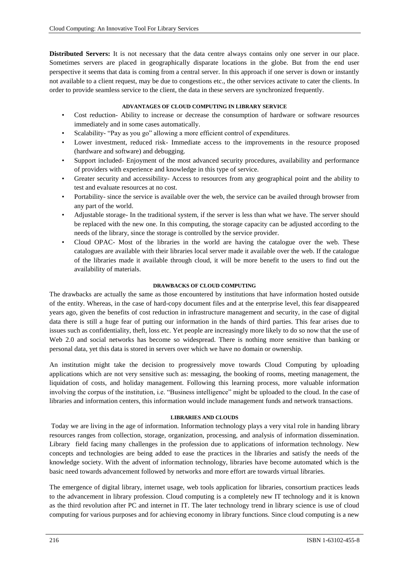**Distributed Servers:** It is not necessary that the data centre always contains only one server in our place. Sometimes servers are placed in geographically disparate locations in the globe. But from the end user perspective it seems that data is coming from a central server. In this approach if one server is down or instantly not available to a client request, may be due to congestions etc., the other services activate to cater the clients. In order to provide seamless service to the client, the data in these servers are synchronized frequently.

# **ADVANTAGES OF CLOUD COMPUTING IN LIBRARY SERVICE**

- Cost reduction- Ability to increase or decrease the consumption of hardware or software resources immediately and in some cases automatically.
- Scalability- "Pay as you go" allowing a more efficient control of expenditures.
- Lower investment, reduced risk- Immediate access to the improvements in the resource proposed (hardware and software) and debugging.
- Support included- Enjoyment of the most advanced security procedures, availability and performance of providers with experience and knowledge in this type of service.
- Greater security and accessibility- Access to resources from any geographical point and the ability to test and evaluate resources at no cost.
- Portability- since the service is available over the web, the service can be availed through browser from any part of the world.
- Adjustable storage- In the traditional system, if the server is less than what we have. The server should be replaced with the new one. In this computing, the storage capacity can be adjusted according to the needs of the library, since the storage is controlled by the service provider.
- Cloud OPAC- Most of the libraries in the world are having the catalogue over the web. These catalogues are available with their libraries local server made it available over the web. If the catalogue of the libraries made it available through cloud, it will be more benefit to the users to find out the availability of materials.

# **DRAWBACKS OF CLOUD COMPUTING**

The drawbacks are actually the same as those encountered by institutions that have information hosted outside of the entity. Whereas, in the case of hard-copy document files and at the enterprise level, this fear disappeared years ago, given the benefits of cost reduction in infrastructure management and security, in the case of digital data there is still a huge fear of putting our information in the hands of third parties. This fear arises due to issues such as confidentiality, theft, loss etc. Yet people are increasingly more likely to do so now that the use of Web 2.0 and social networks has become so widespread. There is nothing more sensitive than banking or personal data, yet this data is stored in servers over which we have no domain or ownership.

An institution might take the decision to progressively move towards Cloud Computing by uploading applications which are not very sensitive such as: messaging, the booking of rooms, meeting management, the liquidation of costs, and holiday management. Following this learning process, more valuable information involving the corpus of the institution, i.e. "Business intelligence" might be uploaded to the cloud. In the case of libraries and information centers, this information would include management funds and network transactions.

## **LIBRARIES AND CLOUDS**

Today we are living in the age of information. Information technology plays a very vital role in handing library resources ranges from collection, storage, organization, processing, and analysis of information dissemination. Library field facing many challenges in the profession due to applications of information technology. New concepts and technologies are being added to ease the practices in the libraries and satisfy the needs of the knowledge society. With the advent of information technology, libraries have become automated which is the basic need towards advancement followed by networks and more effort are towards virtual libraries.

The emergence of digital library, internet usage, web tools application for libraries, consortium practices leads to the advancement in library profession. Cloud computing is a completely new IT technology and it is known as the third revolution after PC and internet in IT. The later technology trend in library science is use of cloud computing for various purposes and for achieving economy in library functions. Since cloud computing is a new